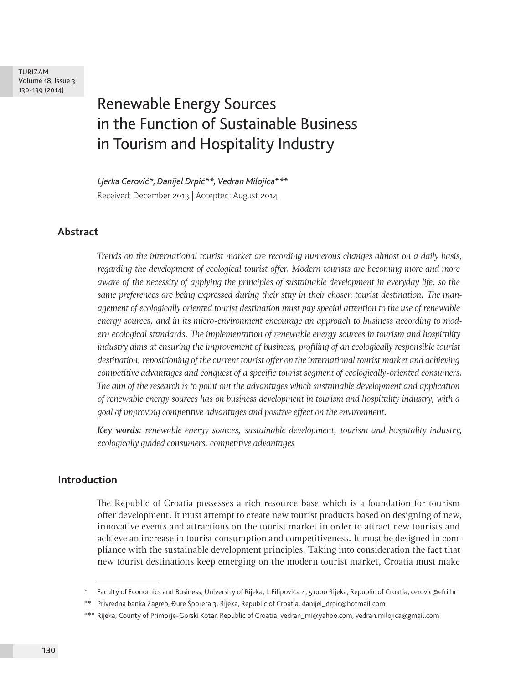# Renewable Energy Sources in the Function of Sustainable Business in Tourism and Hospitality Industry

*Ljerka Cerović\*, Danijel Drpić\*\*, Vedran Milojica\*\*\** Received: December 2013 | Accepted: August 2014

### **Abstract**

*Trends on the international tourist market are recording numerous changes almost on a daily basis, regarding the development of ecological tourist offer. Modern tourists are becoming more and more aware of the necessity of applying the principles of sustainable development in everyday life, so the same preferences are being expressed during their stay in their chosen tourist destination. The management of ecologically oriented tourist destination must pay special attention to the use of renewable energy sources, and in its micro-environment encourage an approach to business according to modern ecological standards. The implementation of renewable energy sources in tourism and hospitality industry aims at ensuring the improvement of business, profiling of an ecologically responsible tourist destination, repositioning of the current tourist offer on the international tourist market and achieving competitive advantages and conquest of a specific tourist segment of ecologically-oriented consumers. The aim of the research is to point out the advantages which sustainable development and application of renewable energy sources has on business development in tourism and hospitality industry, with a goal of improving competitive advantages and positive effect on the environment.*

*Key words: renewable energy sources, sustainable development, tourism and hospitality industry, ecologically guided consumers, competitive advantages*

#### **Introduction**

The Republic of Croatia possesses a rich resource base which is a foundation for tourism offer development. It must attempt to create new tourist products based on designing of new, innovative events and attractions on the tourist market in order to attract new tourists and achieve an increase in tourist consumption and competitiveness. It must be designed in compliance with the sustainable development principles. Taking into consideration the fact that new tourist destinations keep emerging on the modern tourist market, Croatia must make

Faculty of Economics and Business, University of Rijeka, I. Filipovića 4, 51000 Rijeka, Republic of Croatia, cerovic@efri.hr

<sup>\*\*</sup> Privredna banka Zagreb, Đure Šporera 3, Rijeka, Republic of Croatia, danijel\_drpic@hotmail.com

<sup>\*\*\*</sup> Rijeka, County of Primorje-Gorski Kotar, Republic of Croatia, vedran\_mi@yahoo.com, vedran.milojica@gmail.com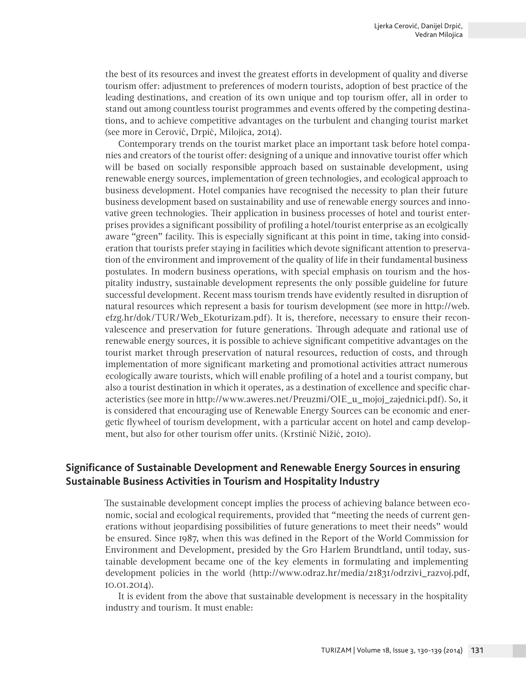the best of its resources and invest the greatest efforts in development of quality and diverse tourism offer: adjustment to preferences of modern tourists, adoption of best practice of the leading destinations, and creation of its own unique and top tourism offer, all in order to stand out among countless tourist programmes and events offered by the competing destinations, and to achieve competitive advantages on the turbulent and changing tourist market (see more in Cerović, Drpić, Milojica, 2014).

Contemporary trends on the tourist market place an important task before hotel companies and creators of the tourist offer: designing of a unique and innovative tourist offer which will be based on socially responsible approach based on sustainable development, using renewable energy sources, implementation of green technologies, and ecological approach to business development. Hotel companies have recognised the necessity to plan their future business development based on sustainability and use of renewable energy sources and innovative green technologies. Their application in business processes of hotel and tourist enterprises provides a significant possibility of profiling a hotel/tourist enterprise as an ecolgically aware "green" facility. This is especially significant at this point in time, taking into consideration that tourists prefer staying in facilities which devote significant attention to preservation of the environment and improvement of the quality of life in their fundamental business postulates. In modern business operations, with special emphasis on tourism and the hospitality industry, sustainable development represents the only possible guideline for future successful development. Recent mass tourism trends have evidently resulted in disruption of natural resources which represent a basis for tourism development (see more in http://web. efzg.hr/dok/TUR/Web\_Ekoturizam.pdf). It is, therefore, necessary to ensure their reconvalescence and preservation for future generations. Through adequate and rational use of renewable energy sources, it is possible to achieve significant competitive advantages on the tourist market through preservation of natural resources, reduction of costs, and through implementation of more significant marketing and promotional activities attract numerous ecologically aware tourists, which will enable profiling of a hotel and a tourist company, but also a tourist destination in which it operates, as a destination of excellence and specific characteristics (see more in http://www.aweres.net/Preuzmi/OIE\_u\_mojoj\_zajednici.pdf). So, it is considered that encouraging use of Renewable Energy Sources can be economic and energetic flywheel of tourism development, with a particular accent on hotel and camp development, but also for other tourism offer units. (Krstinić Nižić, 2010).

## **Significance of Sustainable Development and Renewable Energy Sources in ensuring Sustainable Business Activities in Tourism and Hospitality Industry**

The sustainable development concept implies the process of achieving balance between economic, social and ecological requirements, provided that "meeting the needs of current generations without jeopardising possibilities of future generations to meet their needs" would be ensured. Since 1987, when this was defined in the Report of the World Commission for Environment and Development, presided by the Gro Harlem Brundtland, until today, sustainable development became one of the key elements in formulating and implementing development policies in the world (http://www.odraz.hr/media/21831/odrzivi\_razvoj.pdf, 10.01.2014).

It is evident from the above that sustainable development is necessary in the hospitality industry and tourism. It must enable: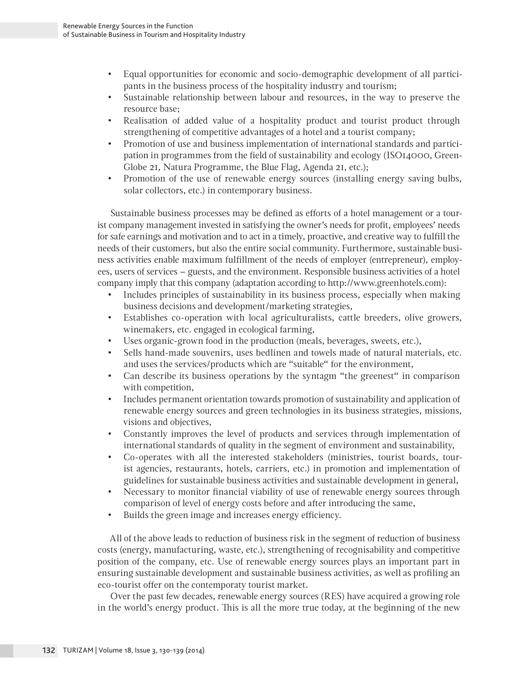- Equal opportunities for economic and socio-demographic development of all participants in the business process of the hospitality industry and tourism;
- Sustainable relationship between labour and resources, in the way to preserve the resource base;
- Realisation of added value of a hospitality product and tourist product through strengthening of competitive advantages of a hotel and a tourist company;
- Promotion of use and business implementation of international standards and participation in programmes from the field of sustainability and ecology (ISO14000, Green-Globe 21, Natura Programme, the Blue Flag, Agenda 21, etc.);
- Promotion of the use of renewable energy sources (installing energy saving bulbs, solar collectors, etc.) in contemporary business.

Sustainable business processes may be defined as efforts of a hotel management or a tourist company management invested in satisfying the owner's needs for profit, employees' needs for safe earnings and motivation and to act in a timely, proactive, and creative way to fulfill the needs of their customers, but also the entire social community. Furthermore, sustainable business activities enable maximum fulfillment of the needs of employer (entrepreneur), employees, users of services – guests, and the environment. Responsible business activities of a hotel company imply that this company (adaptation according to http://www.greenhotels.com):

- Includes principles of sustainability in its business process, especially when making business decisions and development/marketing strategies,
- Establishes co-operation with local agriculturalists, cattle breeders, olive growers, winemakers, etc. engaged in ecological farming,
- Uses organic-grown food in the production (meals, beverages, sweets, etc.),
- Sells hand-made souvenirs, uses bedlinen and towels made of natural materials, etc. and uses the services/products which are "suitable" for the environment,
- Can describe its business operations by the syntagm "the greenest" in comparison with competition,
- Includes permanent orientation towards promotion of sustainability and application of renewable energy sources and green technologies in its business strategies, missions, visions and objectives,
- Constantly improves the level of products and services through implementation of international standards of quality in the segment of environment and sustainability,
- Co-operates with all the interested stakeholders (ministries, tourist boards, tourist agencies, restaurants, hotels, carriers, etc.) in promotion and implementation of guidelines for sustainable business activities and sustainable development in general,
- Necessary to monitor financial viability of use of renewable energy sources through comparison of level of energy costs before and after introducing the same,
- Builds the green image and increases energy efficiency.

All of the above leads to reduction of business risk in the segment of reduction of business costs (energy, manufacturing, waste, etc.), strengthening of recognisability and competitive position of the company, etc. Use of renewable energy sources plays an important part in ensuring sustainable development and sustainable business activities, as well as profiling an eco-tourist offer on the contemporaty tourist market.

Over the past few decades, renewable energy sources (RES) have acquired a growing role in the world's energy product. This is all the more true today, at the beginning of the new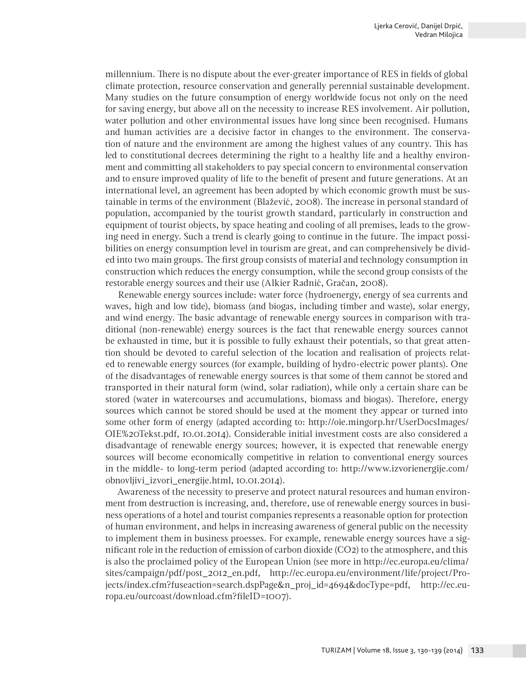millennium. There is no dispute about the ever-greater importance of RES in fields of global climate protection, resource conservation and generally perennial sustainable development. Many studies on the future consumption of energy worldwide focus not only on the need for saving energy, but above all on the necessity to increase RES involvement. Air pollution, water pollution and other environmental issues have long since been recognised. Humans and human activities are a decisive factor in changes to the environment. The conservation of nature and the environment are among the highest values of any country. This has led to constitutional decrees determining the right to a healthy life and a healthy environment and committing all stakeholders to pay special concern to environmental conservation and to ensure improved quality of life to the benefit of present and future generations. At an international level, an agreement has been adopted by which economic growth must be sustainable in terms of the environment (Blažević, 2008). The increase in personal standard of population, accompanied by the tourist growth standard, particularly in construction and equipment of tourist objects, by space heating and cooling of all premises, leads to the growing need in energy. Such a trend is clearly going to continue in the future. The impact possibilities on energy consumption level in tourism are great, and can comprehensively be divided into two main groups. The first group consists of material and technology consumption in construction which reduces the energy consumption, while the second group consists of the restorable energy sources and their use (Alkier Radnić, Gračan, 2008).

Renewable energy sources include: water force (hydroenergy, energy of sea currents and waves, high and low tide), biomass (and biogas, including timber and waste), solar energy, and wind energy. The basic advantage of renewable energy sources in comparison with traditional (non-renewable) energy sources is the fact that renewable energy sources cannot be exhausted in time, but it is possible to fully exhaust their potentials, so that great attention should be devoted to careful selection of the location and realisation of projects related to renewable energy sources (for example, building of hydro-electric power plants). One of the disadvantages of renewable energy sources is that some of them cannot be stored and transported in their natural form (wind, solar radiation), while only a certain share can be stored (water in watercourses and accumulations, biomass and biogas). Therefore, energy sources which cannot be stored should be used at the moment they appear or turned into some other form of energy (adapted according to: http://oie.mingorp.hr/UserDocsImages/ OIE%20Tekst.pdf, 10.01.2014). Considerable initial investment costs are also considered a disadvantage of renewable energy sources; however, it is expected that renewable energy sources will become economically competitive in relation to conventional energy sources in the middle- to long-term period (adapted according to: http://www.izvorienergije.com/ obnovljivi\_izvori\_energije.html, 10.01.2014).

Awareness of the necessity to preserve and protect natural resources and human environment from destruction is increasing, and, therefore, use of renewable energy sources in business operations of a hotel and tourist companies represents a reasonable option for protection of human environment, and helps in increasing awareness of general public on the necessity to implement them in business proesses. For example, renewable energy sources have a significant role in the reduction of emission of carbon dioxide (CO2) to the atmosphere, and this is also the proclaimed policy of the European Union (see more in http://ec.europa.eu/clima/ sites/campaign/pdf/post\_2012\_en.pdf, http://ec.europa.eu/environment/life/project/Projects/index.cfm?fuseaction=search.dspPage&n\_proj\_id=4694&docType=pdf, http://ec.europa.eu/ourcoast/download.cfm?fileID=1007).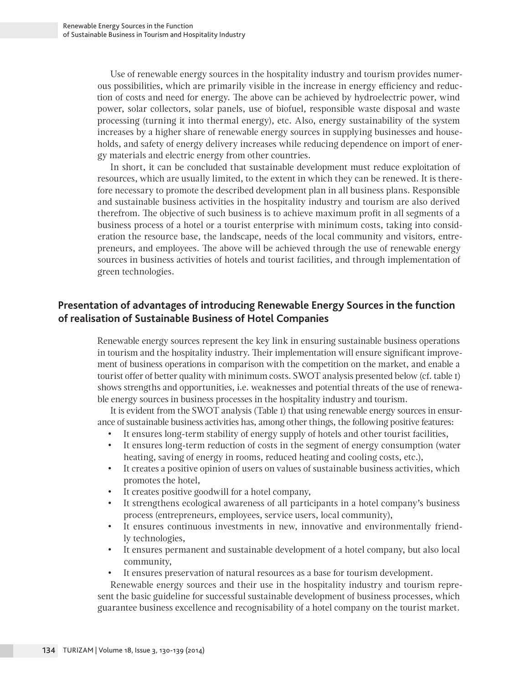Use of renewable energy sources in the hospitality industry and tourism provides numerous possibilities, which are primarily visible in the increase in energy efficiency and reduction of costs and need for energy. The above can be achieved by hydroelectric power, wind power, solar collectors, solar panels, use of biofuel, responsible waste disposal and waste processing (turning it into thermal energy), etc. Also, energy sustainability of the system increases by a higher share of renewable energy sources in supplying businesses and households, and safety of energy delivery increases while reducing dependence on import of energy materials and electric energy from other countries.

In short, it can be concluded that sustainable development must reduce exploitation of resources, which are usually limited, to the extent in which they can be renewed. It is therefore necessary to promote the described development plan in all business plans. Responsible and sustainable business activities in the hospitality industry and tourism are also derived therefrom. The objective of such business is to achieve maximum profit in all segments of a business process of a hotel or a tourist enterprise with minimum costs, taking into consideration the resource base, the landscape, needs of the local community and visitors, entrepreneurs, and employees. The above will be achieved through the use of renewable energy sources in business activities of hotels and tourist facilities, and through implementation of green technologies.

## **Presentation of advantages of introducing Renewable Energy Sources in the function of realisation of Sustainable Business of Hotel Companies**

Renewable energy sources represent the key link in ensuring sustainable business operations in tourism and the hospitality industry. Their implementation will ensure significant improvement of business operations in comparison with the competition on the market, and enable a tourist offer of better quality with minimum costs. SWOT analysis presented below (cf. table 1) shows strengths and opportunities, i.e. weaknesses and potential threats of the use of renewable energy sources in business processes in the hospitality industry and tourism.

It is evident from the SWOT analysis (Table 1) that using renewable energy sources in ensurance of sustainable business activities has, among other things, the following positive features:

- It ensures long-term stability of energy supply of hotels and other tourist facilities,
- It ensures long-term reduction of costs in the segment of energy consumption (water heating, saving of energy in rooms, reduced heating and cooling costs, etc.),
- It creates a positive opinion of users on values of sustainable business activities, which promotes the hotel,
- It creates positive goodwill for a hotel company,
- It strengthens ecological awareness of all participants in a hotel company's business process (entrepreneurs, employees, service users, local community),
- It ensures continuous investments in new, innovative and environmentally friendly technologies,
- It ensures permanent and sustainable development of a hotel company, but also local community,
- It ensures preservation of natural resources as a base for tourism development.

Renewable energy sources and their use in the hospitality industry and tourism represent the basic guideline for successful sustainable development of business processes, which guarantee business excellence and recognisability of a hotel company on the tourist market.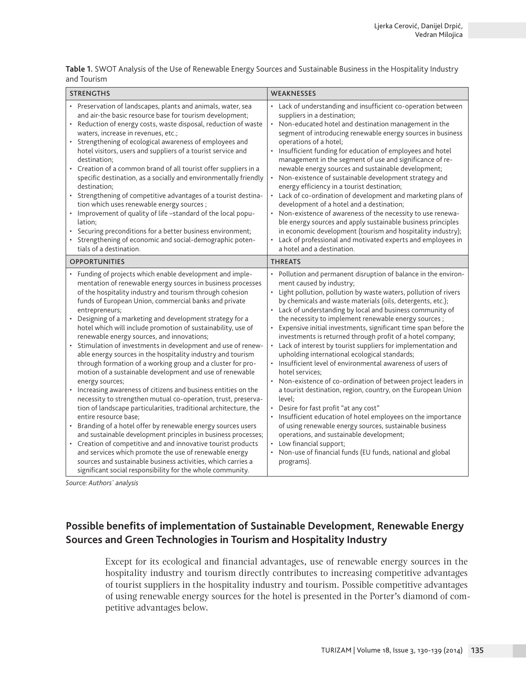**Table 1.** SWOT Analysis of the Use of Renewable Energy Sources and Sustainable Business in the Hospitality Industry and Tourism

| <b>STRENGTHS</b>                                                                                                                                                                                                                                                                                                                                                                                                                                                                                                                                                                                                                                                                                                                                                                                                                                                                                                                                                                                                                                                                                                                                                                                                                                                                                                                                 | <b>WEAKNESSES</b>                                                                                                                                                                                                                                                                                                                                                                                                                                                                                                                                                                                                                                                                                                                                                                                                                                                                                                                                                                                                                                                                                                                                                           |
|--------------------------------------------------------------------------------------------------------------------------------------------------------------------------------------------------------------------------------------------------------------------------------------------------------------------------------------------------------------------------------------------------------------------------------------------------------------------------------------------------------------------------------------------------------------------------------------------------------------------------------------------------------------------------------------------------------------------------------------------------------------------------------------------------------------------------------------------------------------------------------------------------------------------------------------------------------------------------------------------------------------------------------------------------------------------------------------------------------------------------------------------------------------------------------------------------------------------------------------------------------------------------------------------------------------------------------------------------|-----------------------------------------------------------------------------------------------------------------------------------------------------------------------------------------------------------------------------------------------------------------------------------------------------------------------------------------------------------------------------------------------------------------------------------------------------------------------------------------------------------------------------------------------------------------------------------------------------------------------------------------------------------------------------------------------------------------------------------------------------------------------------------------------------------------------------------------------------------------------------------------------------------------------------------------------------------------------------------------------------------------------------------------------------------------------------------------------------------------------------------------------------------------------------|
| • Preservation of landscapes, plants and animals, water, sea<br>and air-the basic resource base for tourism development;<br>• Reduction of energy costs, waste disposal, reduction of waste<br>waters, increase in revenues, etc.;<br>• Strengthening of ecological awareness of employees and<br>hotel visitors, users and suppliers of a tourist service and<br>destination;<br>• Creation of a common brand of all tourist offer suppliers in a<br>specific destination, as a socially and environmentally friendly<br>destination;<br>• Strengthening of competitive advantages of a tourist destina-<br>tion which uses renewable energy sources;<br>• Improvement of quality of life -standard of the local popu-<br>lation;<br>Securing preconditions for a better business environment;<br>Strengthening of economic and social-demographic poten-<br>tials of a destination.                                                                                                                                                                                                                                                                                                                                                                                                                                                            | • Lack of understanding and insufficient co-operation between<br>suppliers in a destination;<br>Non-educated hotel and destination management in the<br>$\bullet$<br>segment of introducing renewable energy sources in business<br>operations of a hotel;<br>Insufficient funding for education of employees and hotel<br>$\bullet$<br>management in the segment of use and significance of re-<br>newable energy sources and sustainable development;<br>Non-existence of sustainable development strategy and<br>$\bullet$<br>energy efficiency in a tourist destination;<br>• Lack of co-ordination of development and marketing plans of<br>development of a hotel and a destination;<br>Non-existence of awareness of the necessity to use renewa-<br>$\bullet$<br>ble energy sources and apply sustainable business principles<br>in economic development (tourism and hospitality industry);<br>Lack of professional and motivated experts and employees in<br>$\bullet$<br>a hotel and a destination.                                                                                                                                                              |
| <b>OPPORTUNITIES</b>                                                                                                                                                                                                                                                                                                                                                                                                                                                                                                                                                                                                                                                                                                                                                                                                                                                                                                                                                                                                                                                                                                                                                                                                                                                                                                                             | <b>THREATS</b>                                                                                                                                                                                                                                                                                                                                                                                                                                                                                                                                                                                                                                                                                                                                                                                                                                                                                                                                                                                                                                                                                                                                                              |
| • Funding of projects which enable development and imple-<br>mentation of renewable energy sources in business processes<br>of the hospitality industry and tourism through cohesion<br>funds of European Union, commercial banks and private<br>entrepreneurs;<br>• Designing of a marketing and development strategy for a<br>hotel which will include promotion of sustainability, use of<br>renewable energy sources, and innovations;<br>Stimulation of investments in development and use of renew-<br>able energy sources in the hospitality industry and tourism<br>through formation of a working group and a cluster for pro-<br>motion of a sustainable development and use of renewable<br>energy sources;<br>• Increasing awareness of citizens and business entities on the<br>necessity to strengthen mutual co-operation, trust, preserva-<br>tion of landscape particularities, traditional architecture, the<br>entire resource base;<br>Branding of a hotel offer by renewable energy sources users<br>and sustainable development principles in business processes;<br>• Creation of competitive and and innovative tourist products<br>and services which promote the use of renewable energy<br>sources and sustainable business activities, which carries a<br>significant social responsibility for the whole community. | • Pollution and permanent disruption of balance in the environ-<br>ment caused by industry;<br>• Light pollution, pollution by waste waters, pollution of rivers<br>by chemicals and waste materials (oils, detergents, etc.);<br>Lack of understanding by local and business community of<br>the necessity to implement renewable energy sources;<br>• Expensive initial investments, significant time span before the<br>investments is returned through profit of a hotel company;<br>Lack of interest by tourist suppliers for implementation and<br>$\bullet$<br>upholding international ecological standards;<br>· Insufficient level of environmental awareness of users of<br>hotel services:<br>Non-existence of co-ordination of between project leaders in<br>a tourist destination, region, country, on the European Union<br>level;<br>• Desire for fast profit "at any cost"<br>• Insufficient education of hotel employees on the importance<br>of using renewable energy sources, sustainable business<br>operations, and sustainable development;<br>• Low financial support;<br>• Non-use of financial funds (EU funds, national and global<br>programs). |

*Source: Authors´ analysis*

## **Possible benefits of implementation of Sustainable Development, Renewable Energy Sources and Green Technologies in Tourism and Hospitality Industry**

Except for its ecological and financial advantages, use of renewable energy sources in the hospitality industry and tourism directly contributes to increasing competitive advantages of tourist suppliers in the hospitality industry and tourism. Possible competitive advantages of using renewable energy sources for the hotel is presented in the Porter's diamond of competitive advantages below.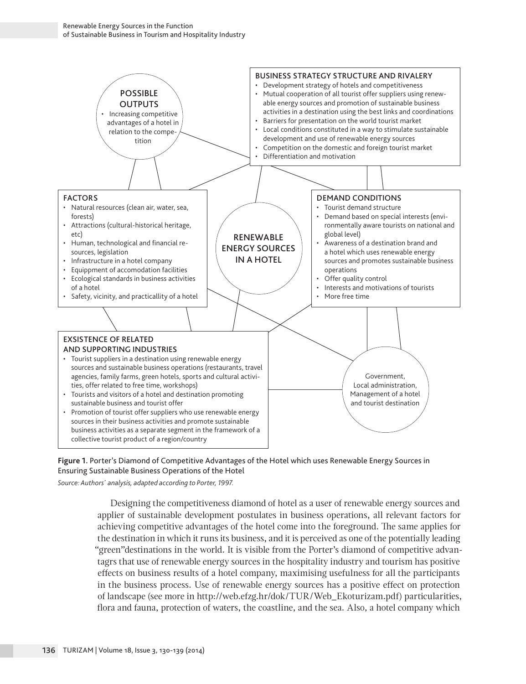



*Source: Authors´ analysis, adapted according to Porter, 1997.*

Designing the competitiveness diamond of hotel as a user of renewable energy sources and applier of sustainable development postulates in business operations, all relevant factors for achieving competitive advantages of the hotel come into the foreground. The same applies for the destination in which it runs its business, and it is perceived as one of the potentially leading "green"destinations in the world. It is visible from the Porter's diamond of competitive advantagrs that use of renewable energy sources in the hospitality industry and tourism has positive effects on business results of a hotel company, maximising usefulness for all the participants in the business process. Use of renewable energy sources has a positive effect on protection of landscape (see more in http://web.efzg.hr/dok/TUR/Web\_Ekoturizam.pdf) particularities, flora and fauna, protection of waters, the coastline, and the sea. Also, a hotel company which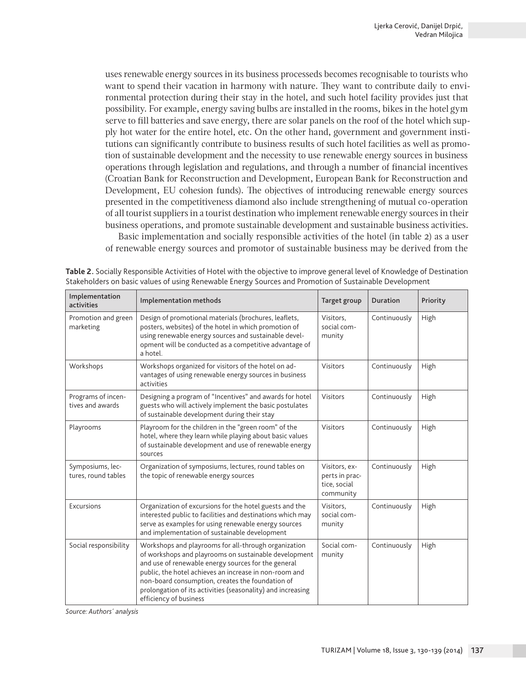uses renewable energy sources in its business processeds becomes recognisable to tourists who want to spend their vacation in harmony with nature. They want to contribute daily to environmental protection during their stay in the hotel, and such hotel facility provides just that possibility. For example, energy saving bulbs are installed in the rooms, bikes in the hotel gym serve to fill batteries and save energy, there are solar panels on the roof of the hotel which supply hot water for the entire hotel, etc. On the other hand, government and government institutions can significantly contribute to business results of such hotel facilities as well as promotion of sustainable development and the necessity to use renewable energy sources in business operations through legislation and regulations, and through a number of financial incentives (Croatian Bank for Reconstruction and Development, European Bank for Reconstruction and Development, EU cohesion funds). The objectives of introducing renewable energy sources presented in the competitiveness diamond also include strengthening of mutual co-operation of all tourist suppliers in a tourist destination who implement renewable energy sources in their business operations, and promote sustainable development and sustainable business activities.

Basic implementation and socially responsible activities of the hotel (in table 2) as a user of renewable energy sources and promotor of sustainable business may be derived from the

| Implementation<br>activities            | Implementation methods                                                                                                                                                                                                                                                                                                                                                      | Target group                                                 | <b>Duration</b> | Priority |
|-----------------------------------------|-----------------------------------------------------------------------------------------------------------------------------------------------------------------------------------------------------------------------------------------------------------------------------------------------------------------------------------------------------------------------------|--------------------------------------------------------------|-----------------|----------|
| Promotion and green<br>marketing        | Design of promotional materials (brochures, leaflets,<br>posters, websites) of the hotel in which promotion of<br>using renewable energy sources and sustainable devel-<br>opment will be conducted as a competitive advantage of<br>a hotel.                                                                                                                               | Visitors.<br>social com-<br>munity                           | Continuously    | High     |
| Workshops                               | Workshops organized for visitors of the hotel on ad-<br>vantages of using renewable energy sources in business<br>activities                                                                                                                                                                                                                                                | <b>Visitors</b>                                              | Continuously    | High     |
| Programs of incen-<br>tives and awards  | Designing a program of "Incentives" and awards for hotel<br>guests who will actively implement the basic postulates<br>of sustainable development during their stay                                                                                                                                                                                                         | <b>Visitors</b>                                              | Continuously    | High     |
| Playrooms                               | Playroom for the children in the "green room" of the<br>hotel, where they learn while playing about basic values<br>of sustainable development and use of renewable energy<br>sources                                                                                                                                                                                       | Visitors                                                     | Continuously    | High     |
| Symposiums, lec-<br>tures, round tables | Organization of symposiums, lectures, round tables on<br>the topic of renewable energy sources                                                                                                                                                                                                                                                                              | Visitors, ex-<br>perts in prac-<br>tice, social<br>community | Continuously    | High     |
| Excursions                              | Organization of excursions for the hotel guests and the<br>interested public to facilities and destinations which may<br>serve as examples for using renewable energy sources<br>and implementation of sustainable development                                                                                                                                              | Visitors,<br>social com-<br>munity                           | Continuously    | High     |
| Social responsibility                   | Workshops and playrooms for all-through organization<br>of workshops and playrooms on sustainable development<br>and use of renewable energy sources for the general<br>public, the hotel achieves an increase in non-room and<br>non-board consumption, creates the foundation of<br>prolongation of its activities (seasonality) and increasing<br>efficiency of business | Social com-<br>munity                                        | Continuously    | High     |

**Table 2.** Socially Responsible Activities of Hotel with the objective to improve general level of Knowledge of Destination Stakeholders on basic values of using Renewable Energy Sources and Promotion of Sustainable Development

*Source: Authors´ analysis*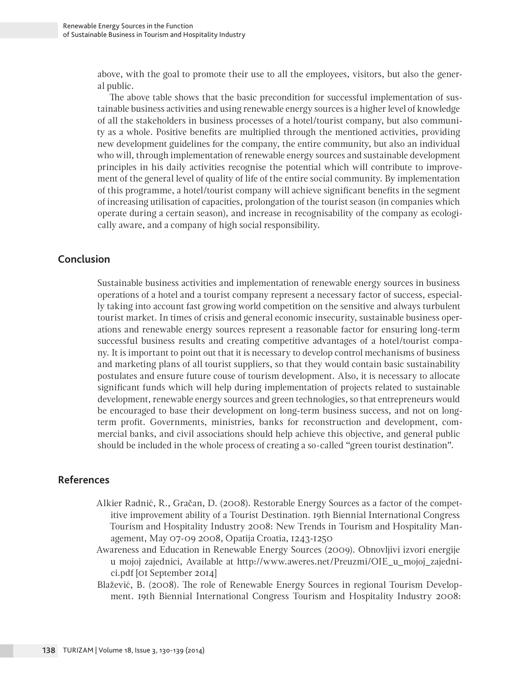above, with the goal to promote their use to all the employees, visitors, but also the general public.

The above table shows that the basic precondition for successful implementation of sustainable business activities and using renewable energy sources is a higher level of knowledge of all the stakeholders in business processes of a hotel/tourist company, but also community as a whole. Positive benefits are multiplied through the mentioned activities, providing new development guidelines for the company, the entire community, but also an individual who will, through implementation of renewable energy sources and sustainable development principles in his daily activities recognise the potential which will contribute to improvement of the general level of quality of life of the entire social community. By implementation of this programme, a hotel/tourist company will achieve significant benefits in the segment of increasing utilisation of capacities, prolongation of the tourist season (in companies which operate during a certain season), and increase in recognisability of the company as ecologically aware, and a company of high social responsibility.

#### **Conclusion**

Sustainable business activities and implementation of renewable energy sources in business operations of a hotel and a tourist company represent a necessary factor of success, especially taking into account fast growing world competition on the sensitive and always turbulent tourist market. In times of crisis and general economic insecurity, sustainable business operations and renewable energy sources represent a reasonable factor for ensuring long-term successful business results and creating competitive advantages of a hotel/tourist company. It is important to point out that it is necessary to develop control mechanisms of business and marketing plans of all tourist suppliers, so that they would contain basic sustainability postulates and ensure future couse of tourism development. Also, it is necessary to allocate significant funds which will help during implementation of projects related to sustainable development, renewable energy sources and green technologies, so that entrepreneurs would be encouraged to base their development on long-term business success, and not on longterm profit. Governments, ministries, banks for reconstruction and development, commercial banks, and civil associations should help achieve this objective, and general public should be included in the whole process of creating a so-called "green tourist destination".

#### **References**

- Alkier Radnić, R., Gračan, D. (2008). Restorable Energy Sources as a factor of the competitive improvement ability of a Tourist Destination. 19th Biennial International Congress Tourism and Hospitality Industry 2008: New Trends in Tourism and Hospitality Management, May 07-09 2008, Opatija Croatia, 1243-1250
- Awareness and Education in Renewable Energy Sources (2009). Obnovljivi izvori energije u mojoj zajednici, Available at http://www.aweres.net/Preuzmi/OIE\_u\_mojoj\_zajednici.pdf [01 September 2014]
- Blažević, B. (2008). The role of Renewable Energy Sources in regional Tourism Development. 19th Biennial International Congress Tourism and Hospitality Industry 2008: